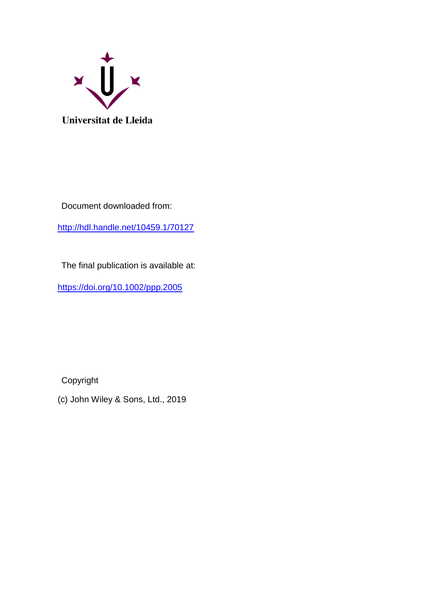

Document downloaded from:

<http://hdl.handle.net/10459.1/70127>

The final publication is available at:

<https://doi.org/10.1002/ppp.2005>

Copyright

(c) John Wiley & Sons, Ltd., 2019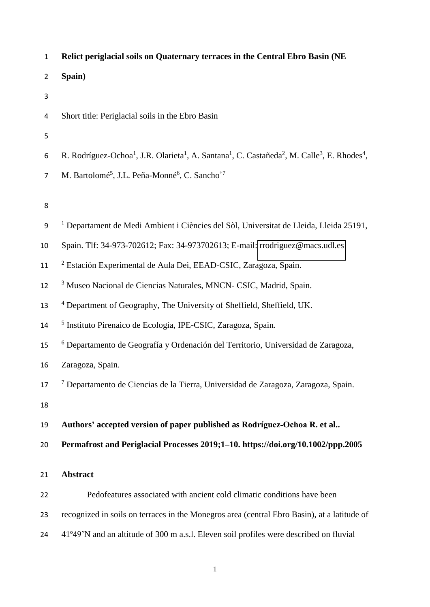| $\mathbf{1}$   | Relict periglacial soils on Quaternary terraces in the Central Ebro Basin (NE                                                                                         |
|----------------|-----------------------------------------------------------------------------------------------------------------------------------------------------------------------|
| $\overline{2}$ | Spain)                                                                                                                                                                |
| 3              |                                                                                                                                                                       |
| 4              | Short title: Periglacial soils in the Ebro Basin                                                                                                                      |
| 5              |                                                                                                                                                                       |
| 6              | R. Rodríguez-Ochoa <sup>1</sup> , J.R. Olarieta <sup>1</sup> , A. Santana <sup>1</sup> , C. Castañeda <sup>2</sup> , M. Calle <sup>3</sup> , E. Rhodes <sup>4</sup> , |
| $\overline{7}$ | M. Bartolomé <sup>5</sup> , J.L. Peña-Monné <sup>6</sup> , C. Sancho <sup>†7</sup>                                                                                    |
|                |                                                                                                                                                                       |
| 8              |                                                                                                                                                                       |
| 9              | <sup>1</sup> Departament de Medi Ambient i Ciències del Sòl, Universitat de Lleida, Lleida 25191,                                                                     |
| 10             | Spain. Tlf: 34-973-702612; Fax: 34-973702613; E-mail: rrodriguez@macs.udl.es                                                                                          |
| 11             | <sup>2</sup> Estación Experimental de Aula Dei, EEAD-CSIC, Zaragoza, Spain.                                                                                           |
| 12             | <sup>3</sup> Museo Nacional de Ciencias Naturales, MNCN- CSIC, Madrid, Spain.                                                                                         |
| 13             | <sup>4</sup> Department of Geography, The University of Sheffield, Sheffield, UK.                                                                                     |
| 14             | <sup>5</sup> Instituto Pirenaico de Ecología, IPE-CSIC, Zaragoza, Spain.                                                                                              |
| 15             | <sup>6</sup> Departamento de Geografía y Ordenación del Territorio, Universidad de Zaragoza,                                                                          |
| 16             | Zaragoza, Spain.                                                                                                                                                      |
| 17             | 7 Departamento de Ciencias de la Tierra, Universidad de Zaragoza, Zaragoza, Spain.                                                                                    |
| 18             |                                                                                                                                                                       |
| 19             | Authors' accepted version of paper published as Rodríguez-Ochoa R. et al                                                                                              |
| 20             | Permafrost and Periglacial Processes 2019;1-10. https://doi.org/10.1002/ppp.2005                                                                                      |
| 21             | <b>Abstract</b>                                                                                                                                                       |
| 22             | Pedofeatures associated with ancient cold climatic conditions have been                                                                                               |
| 23             | recognized in soils on terraces in the Monegros area (central Ebro Basin), at a latitude of                                                                           |
|                |                                                                                                                                                                       |
| 24             | 41°49'N and an altitude of 300 m a.s.l. Eleven soil profiles were described on fluvial                                                                                |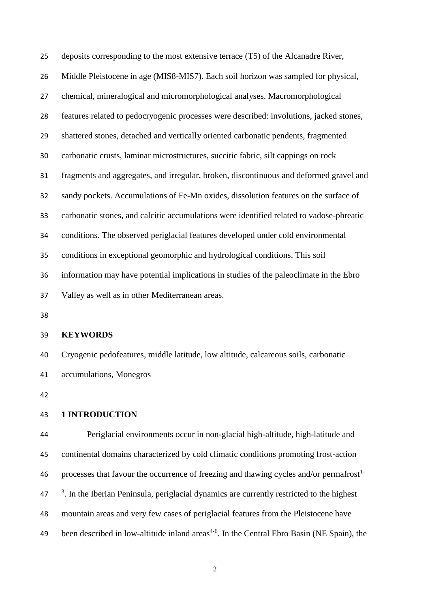deposits corresponding to the most extensive terrace (T5) of the Alcanadre River, Middle Pleistocene in age (MIS8-MIS7). Each soil horizon was sampled for physical, chemical, mineralogical and micromorphological analyses. Macromorphological features related to pedocryogenic processes were described: involutions, jacked stones, shattered stones, detached and vertically oriented carbonatic pendents, fragmented carbonatic crusts, laminar microstructures, succitic fabric, silt cappings on rock fragments and aggregates, and irregular, broken, discontinuous and deformed gravel and sandy pockets. Accumulations of Fe-Mn oxides, dissolution features on the surface of carbonatic stones, and calcitic accumulations were identified related to vadose-phreatic conditions. The observed periglacial features developed under cold environmental conditions in exceptional geomorphic and hydrological conditions. This soil information may have potential implications in studies of the paleoclimate in the Ebro Valley as well as in other Mediterranean areas.

## **KEYWORDS**

 Cryogenic pedofeatures, middle latitude, low altitude, calcareous soils, carbonatic accumulations, Monegros

## **1 INTRODUCTION**

 Periglacial environments occur in non-glacial high-altitude, high-latitude and continental domains characterized by cold climatic conditions promoting frost-action 46 processes that favour the occurrence of freezing and thawing cycles and/or permafrost<sup>1-</sup>  $3<sup>3</sup>$ . In the Iberian Peninsula, periglacial dynamics are currently restricted to the highest mountain areas and very few cases of periglacial features from the Pleistocene have 49 been described in low-altitude inland areas<sup>4-6</sup>. In the Central Ebro Basin (NE Spain), the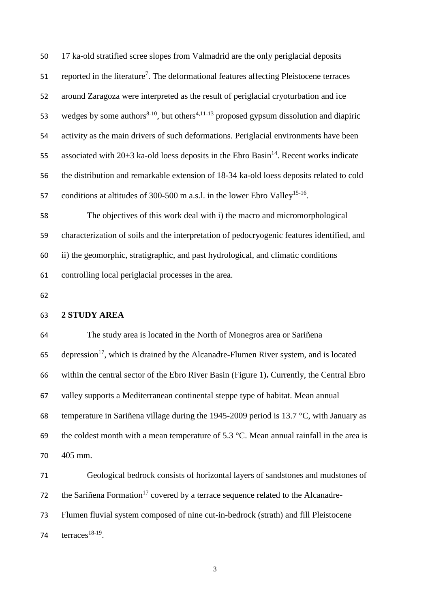| 50 | 17 ka-old stratified scree slopes from Valmadrid are the only periglacial deposits                              |
|----|-----------------------------------------------------------------------------------------------------------------|
| 51 | reported in the literature <sup>7</sup> . The deformational features affecting Pleistocene terraces             |
| 52 | around Zaragoza were interpreted as the result of periglacial cryoturbation and ice                             |
| 53 | wedges by some authors <sup>8-10</sup> , but others <sup>4,11-13</sup> proposed gypsum dissolution and diapiric |
| 54 | activity as the main drivers of such deformations. Periglacial environments have been                           |
| 55 | associated with $20\pm 3$ ka-old loess deposits in the Ebro Basin <sup>14</sup> . Recent works indicate         |
| 56 | the distribution and remarkable extension of 18-34 ka-old loess deposits related to cold                        |
| 57 | conditions at altitudes of 300-500 m a.s.l. in the lower Ebro Valley <sup>15-16</sup> .                         |
| 58 | The objectives of this work deal with i) the macro and micromorphological                                       |
| 59 | characterization of soils and the interpretation of pedocryogenic features identified, and                      |
| 60 | ii) the geomorphic, stratigraphic, and past hydrological, and climatic conditions                               |
| 61 | controlling local periglacial processes in the area.                                                            |
| 62 |                                                                                                                 |
| 63 | 2 STUDY AREA                                                                                                    |
| 64 | The study area is located in the North of Monegros area or Sariñena                                             |
| 65 | depression <sup>17</sup> , which is drained by the Alcanadre-Flumen River system, and is located                |
| 66 | within the central sector of the Ebro River Basin (Figure 1). Currently, the Central Ebro                       |
| 67 | valley supports a Mediterranean continental steppe type of habitat. Mean annual                                 |
| 68 | temperature in Sariñena village during the 1945-2009 period is 13.7 $\degree$ C, with January as                |
| 69 | the coldest month with a mean temperature of 5.3 $^{\circ}$ C. Mean annual rainfall in the area is              |
| 70 | 405 mm.                                                                                                         |
| 71 | Geological bedrock consists of horizontal layers of sandstones and mudstones of                                 |
| 72 | the Sariñena Formation <sup>17</sup> covered by a terrace sequence related to the Alcanadre-                    |
| 73 | Flumen fluvial system composed of nine cut-in-bedrock (strath) and fill Pleistocene                             |
|    |                                                                                                                 |

74  $terraces<sup>18-19</sup>$ .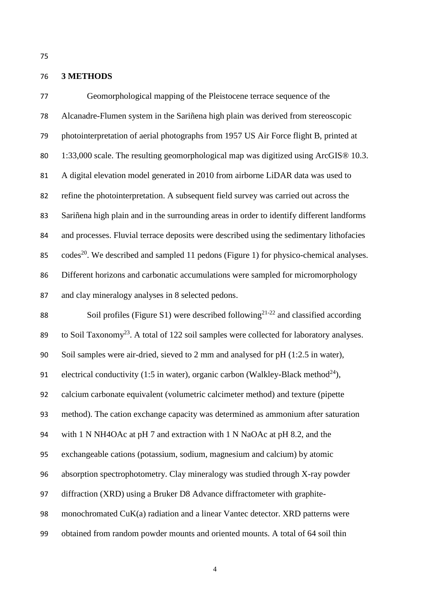# **3 METHODS**

 Geomorphological mapping of the Pleistocene terrace sequence of the Alcanadre-Flumen system in the Sariñena high plain was derived from stereoscopic photointerpretation of aerial photographs from 1957 US Air Force flight B, printed at 1:33,000 scale. The resulting geomorphological map was digitized using ArcGIS® 10.3. A digital elevation model generated in 2010 from airborne LiDAR data was used to refine the photointerpretation. A subsequent field survey was carried out across the Sariñena high plain and in the surrounding areas in order to identify different landforms and processes. Fluvial terrace deposits were described using the sedimentary lithofacies  $\cdot$  codes<sup>20</sup>. We described and sampled 11 pedons (Figure 1) for physico-chemical analyses. Different horizons and carbonatic accumulations were sampled for micromorphology and clay mineralogy analyses in 8 selected pedons. 88 Soil profiles (Figure S1) were described following<sup>21-22</sup> and classified according 89 . to Soil Taxonomy<sup>23</sup>. A total of 122 soil samples were collected for laboratory analyses. Soil samples were air-dried, sieved to 2 mm and analysed for pH (1:2.5 in water), 91 electrical conductivity (1:5 in water), organic carbon (Walkley-Black method<sup>24</sup>),

calcium carbonate equivalent (volumetric calcimeter method) and texture (pipette

method). The cation exchange capacity was determined as ammonium after saturation

with 1 N NH4OAc at pH 7 and extraction with 1 N NaOAc at pH 8.2, and the

exchangeable cations (potassium, sodium, magnesium and calcium) by atomic

absorption spectrophotometry. Clay mineralogy was studied through X-ray powder

diffraction (XRD) using a Bruker D8 Advance diffractometer with graphite-

monochromated CuK(a) radiation and a linear Vantec detector. XRD patterns were

obtained from random powder mounts and oriented mounts. A total of 64 soil thin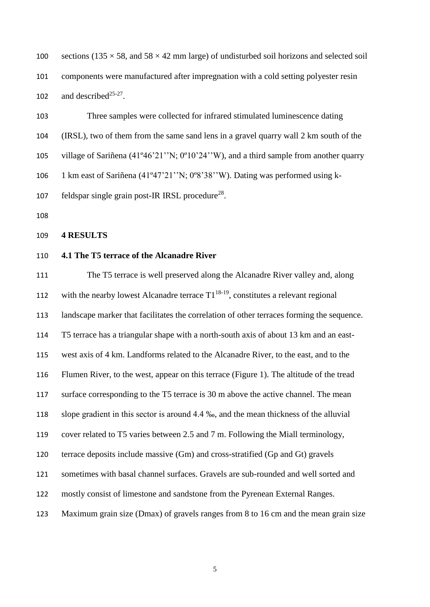100 sections ( $135 \times 58$ , and  $58 \times 42$  mm large) of undisturbed soil horizons and selected soil components were manufactured after impregnation with a cold setting polyester resin 102 and described<sup>25-27</sup>.

 Three samples were collected for infrared stimulated luminescence dating (IRSL), two of them from the same sand lens in a gravel quarry wall 2 km south of the village of Sariñena (41º46'21''N; 0º10'24''W), and a third sample from another quarry 1 km east of Sariñena (41º47'21''N; 0º8'38''W). Dating was performed using k-107 feldspar single grain post-IR IRSL procedure<sup>28</sup>.

## **4 RESULTS**

## **4.1 The T5 terrace of the Alcanadre River**

 The T5 terrace is well preserved along the Alcanadre River valley and, along 112 with the nearby lowest Alcanadre terrace  $T1^{18-19}$ , constitutes a relevant regional landscape marker that facilitates the correlation of other terraces forming the sequence. T5 terrace has a triangular shape with a north-south axis of about 13 km and an east- west axis of 4 km. Landforms related to the Alcanadre River, to the east, and to the Flumen River, to the west, appear on this terrace (Figure 1). The altitude of the tread surface corresponding to the T5 terrace is 30 m above the active channel. The mean slope gradient in this sector is around 4.4 ‰, and the mean thickness of the alluvial cover related to T5 varies between 2.5 and 7 m. Following the Miall terminology, terrace deposits include massive (Gm) and cross-stratified (Gp and Gt) gravels sometimes with basal channel surfaces. Gravels are sub-rounded and well sorted and mostly consist of limestone and sandstone from the Pyrenean External Ranges. Maximum grain size (Dmax) of gravels ranges from 8 to 16 cm and the mean grain size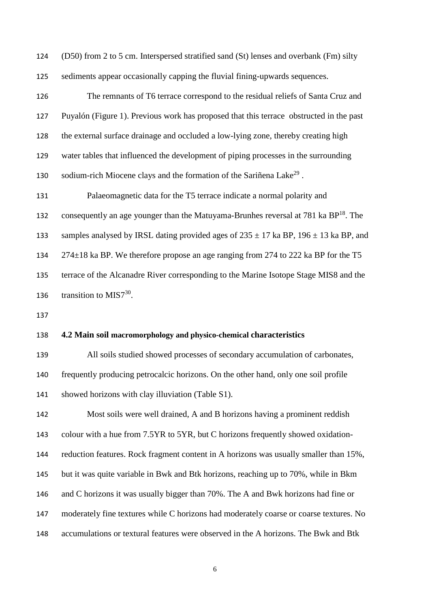(D50) from 2 to 5 cm. Interspersed stratified sand (St) lenses and overbank (Fm) silty sediments appear occasionally capping the fluvial fining-upwards sequences.

 The remnants of T6 terrace correspond to the residual reliefs of Santa Cruz and Puyalón (Figure 1). Previous work has proposed that this terrace obstructed in the past the external surface drainage and occluded a low-lying zone, thereby creating high water tables that influenced the development of piping processes in the surrounding sodium-rich Miocene clays and the formation of the Sariñena Lake<sup>29</sup>.

 Palaeomagnetic data for the T5 terrace indicate a normal polarity and consequently an age younger than the Matuyama-Brunhes reversal at ka  $BP<sup>18</sup>$ . The 133 samples analysed by IRSL dating provided ages of  $235 \pm 17$  ka BP,  $196 \pm 13$  ka BP, and 274±18 ka BP. We therefore propose an age ranging from 274 to 222 ka BP for the T5 terrace of the Alcanadre River corresponding to the Marine Isotope Stage MIS8 and the 136 transition to MIS7.

## **4.2 Main soil macromorphology and physico-chemical characteristics**

 All soils studied showed processes of secondary accumulation of carbonates, frequently producing petrocalcic horizons. On the other hand, only one soil profile showed horizons with clay illuviation (Table S1).

 Most soils were well drained, A and B horizons having a prominent reddish colour with a hue from 7.5YR to 5YR, but C horizons frequently showed oxidation- reduction features. Rock fragment content in A horizons was usually smaller than 15%, but it was quite variable in Bwk and Btk horizons, reaching up to 70%, while in Bkm and C horizons it was usually bigger than 70%. The A and Bwk horizons had fine or moderately fine textures while C horizons had moderately coarse or coarse textures. No accumulations or textural features were observed in the A horizons. The Bwk and Btk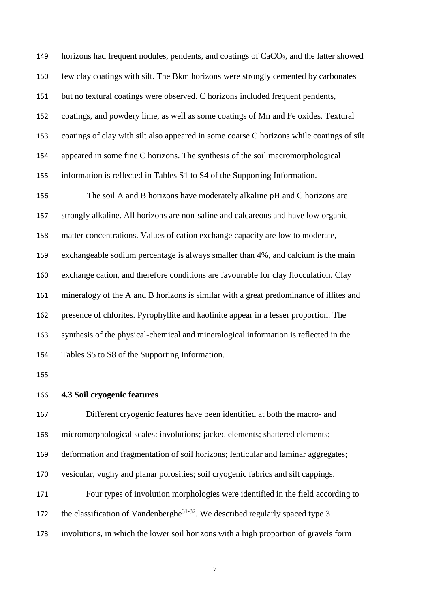horizons had frequent nodules, pendents, and coatings of CaCO3, and the latter showed few clay coatings with silt. The Bkm horizons were strongly cemented by carbonates but no textural coatings were observed. C horizons included frequent pendents, coatings, and powdery lime, as well as some coatings of Mn and Fe oxides. Textural coatings of clay with silt also appeared in some coarse C horizons while coatings of silt appeared in some fine C horizons. The synthesis of the soil macromorphological information is reflected in Tables S1 to S4 of the Supporting Information.

 The soil A and B horizons have moderately alkaline pH and C horizons are strongly alkaline. All horizons are non-saline and calcareous and have low organic matter concentrations. Values of cation exchange capacity are low to moderate, exchangeable sodium percentage is always smaller than 4%, and calcium is the main exchange cation, and therefore conditions are favourable for clay flocculation. Clay mineralogy of the A and B horizons is similar with a great predominance of illites and presence of chlorites. Pyrophyllite and kaolinite appear in a lesser proportion. The synthesis of the physical-chemical and mineralogical information is reflected in the Tables S5 to S8 of the Supporting Information.

#### **4.3 Soil cryogenic features**

 Different cryogenic features have been identified at both the macro- and micromorphological scales: involutions; jacked elements; shattered elements; deformation and fragmentation of soil horizons; lenticular and laminar aggregates; vesicular, vughy and planar porosities; soil cryogenic fabrics and silt cappings. Four types of involution morphologies were identified in the field according to the classification of Vandenberghe<sup>31-32</sup>. We described regularly spaced type 3 involutions, in which the lower soil horizons with a high proportion of gravels form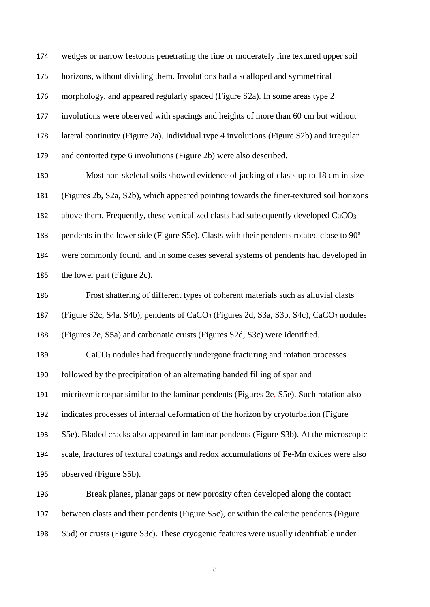wedges or narrow festoons penetrating the fine or moderately fine textured upper soil horizons, without dividing them. Involutions had a scalloped and symmetrical morphology, and appeared regularly spaced (Figure S2a). In some areas type 2 involutions were observed with spacings and heights of more than 60 cm but without lateral continuity (Figure 2a). Individual type 4 involutions (Figure S2b) and irregular and contorted type 6 involutions (Figure 2b) were also described.

 Most non-skeletal soils showed evidence of jacking of clasts up to 18 cm in size (Figures 2b, S2a, S2b), which appeared pointing towards the finer-textured soil horizons 182 above them. Frequently, these verticalized clasts had subsequently developed CaCO<sub>3</sub> pendents in the lower side (Figure S5e). Clasts with their pendents rotated close to 90º were commonly found, and in some cases several systems of pendents had developed in the lower part (Figure 2c).

 Frost shattering of different types of coherent materials such as alluvial clasts (Figure S2c, S4a, S4b), pendents of CaCO3 (Figures 2d, S3a, S3b, S4c), CaCO3 nodules (Figures 2e, S5a) and carbonatic crusts (Figures S2d, S3c) were identified.

 CaCO3 nodules had frequently undergone fracturing and rotation processes followed by the precipitation of an alternating banded filling of spar and micrite/microspar similar to the laminar pendents (Figures 2e, S5e). Such rotation also indicates processes of internal deformation of the horizon by cryoturbation (Figure S5e). Bladed cracks also appeared in laminar pendents (Figure S3b). At the microscopic scale, fractures of textural coatings and redox accumulations of Fe-Mn oxides were also observed (Figure S5b).

 Break planes, planar gaps or new porosity often developed along the contact between clasts and their pendents (Figure S5c), or within the calcitic pendents (Figure S5d) or crusts (Figure S3c). These cryogenic features were usually identifiable under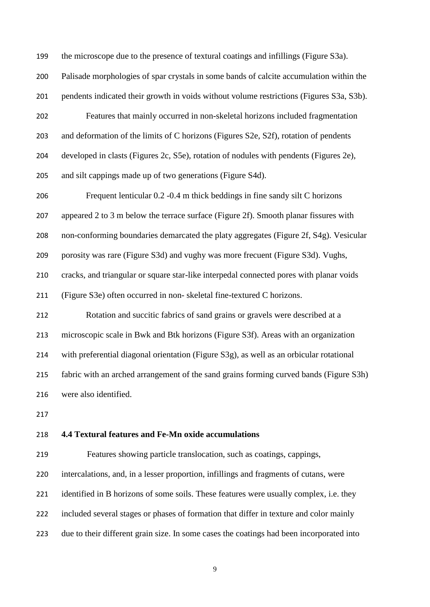the microscope due to the presence of textural coatings and infillings (Figure S3a). Palisade morphologies of spar crystals in some bands of calcite accumulation within the pendents indicated their growth in voids without volume restrictions (Figures S3a, S3b). Features that mainly occurred in non-skeletal horizons included fragmentation and deformation of the limits of C horizons (Figures S2e, S2f), rotation of pendents developed in clasts (Figures 2c, S5e), rotation of nodules with pendents (Figures 2e), and silt cappings made up of two generations (Figure S4d). Frequent lenticular 0.2 -0.4 m thick beddings in fine sandy silt C horizons appeared 2 to 3 m below the terrace surface (Figure 2f). Smooth planar fissures with non-conforming boundaries demarcated the platy aggregates (Figure 2f, S4g). Vesicular porosity was rare (Figure S3d) and vughy was more frecuent (Figure S3d). Vughs, cracks, and triangular or square star-like interpedal connected pores with planar voids (Figure S3e) often occurred in non- skeletal fine-textured C horizons. Rotation and succitic fabrics of sand grains or gravels were described at a microscopic scale in Bwk and Btk horizons (Figure S3f). Areas with an organization with preferential diagonal orientation (Figure S3g), as well as an orbicular rotational fabric with an arched arrangement of the sand grains forming curved bands (Figure S3h) were also identified. 

# **4.4 Textural features and Fe-Mn oxide accumulations**

 Features showing particle translocation, such as coatings, cappings, intercalations, and, in a lesser proportion, infillings and fragments of cutans, were 221 identified in B horizons of some soils. These features were usually complex, i.e. they included several stages or phases of formation that differ in texture and color mainly due to their different grain size. In some cases the coatings had been incorporated into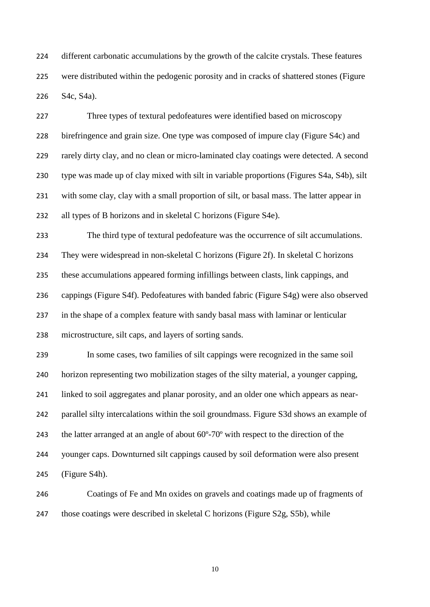different carbonatic accumulations by the growth of the calcite crystals. These features were distributed within the pedogenic porosity and in cracks of shattered stones (Figure S4c, S4a).

 Three types of textural pedofeatures were identified based on microscopy birefringence and grain size. One type was composed of impure clay (Figure S4c) and rarely dirty clay, and no clean or micro-laminated clay coatings were detected. A second type was made up of clay mixed with silt in variable proportions (Figures S4a, S4b), silt with some clay, clay with a small proportion of silt, or basal mass. The latter appear in all types of B horizons and in skeletal C horizons (Figure S4e).

 The third type of textural pedofeature was the occurrence of silt accumulations. They were widespread in non-skeletal C horizons (Figure 2f). In skeletal C horizons these accumulations appeared forming infillings between clasts, link cappings, and cappings (Figure S4f). Pedofeatures with banded fabric (Figure S4g) were also observed in the shape of a complex feature with sandy basal mass with laminar or lenticular microstructure, silt caps, and layers of sorting sands.

 In some cases, two families of silt cappings were recognized in the same soil horizon representing two mobilization stages of the silty material, a younger capping, linked to soil aggregates and planar porosity, and an older one which appears as near- parallel silty intercalations within the soil groundmass. Figure S3d shows an example of the latter arranged at an angle of about 60º-70º with respect to the direction of the younger caps. Downturned silt cappings caused by soil deformation were also present (Figure S4h).

 Coatings of Fe and Mn oxides on gravels and coatings made up of fragments of those coatings were described in skeletal C horizons (Figure S2g, S5b), while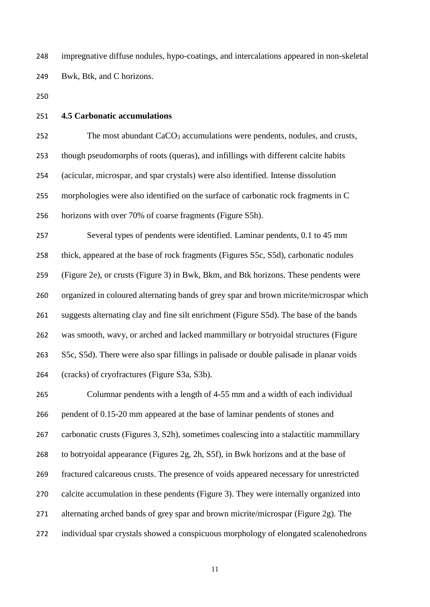impregnative diffuse nodules, hypo-coatings, and intercalations appeared in non-skeletal Bwk, Btk, and C horizons.

- 
- **4.5 Carbonatic accumulations**

252 The most abundant CaCO<sub>3</sub> accumulations were pendents, nodules, and crusts, though pseudomorphs of roots (queras), and infillings with different calcite habits (acicular, microspar, and spar crystals) were also identified. Intense dissolution morphologies were also identified on the surface of carbonatic rock fragments in C horizons with over 70% of coarse fragments (Figure S5h).

 Several types of pendents were identified. Laminar pendents, 0.1 to 45 mm thick, appeared at the base of rock fragments (Figures S5c, S5d), carbonatic nodules (Figure 2e), or crusts (Figure 3) in Bwk, Bkm, and Btk horizons. These pendents were organized in coloured alternating bands of grey spar and brown micrite/microspar which suggests alternating clay and fine silt enrichment (Figure S5d). The base of the bands was smooth, wavy, or arched and lacked mammillary or botryoidal structures (Figure S5c, S5d). There were also spar fillings in palisade or double palisade in planar voids (cracks) of cryofractures (Figure S3a, S3b).

 Columnar pendents with a length of 4-55 mm and a width of each individual pendent of 0.15-20 mm appeared at the base of laminar pendents of stones and carbonatic crusts (Figures 3, S2h), sometimes coalescing into a stalactitic mammillary to botryoidal appearance (Figures 2g, 2h, S5f), in Bwk horizons and at the base of fractured calcareous crusts. The presence of voids appeared necessary for unrestricted calcite accumulation in these pendents (Figure 3). They were internally organized into alternating arched bands of grey spar and brown micrite/microspar (Figure 2g). The individual spar crystals showed a conspicuous morphology of elongated scalenohedrons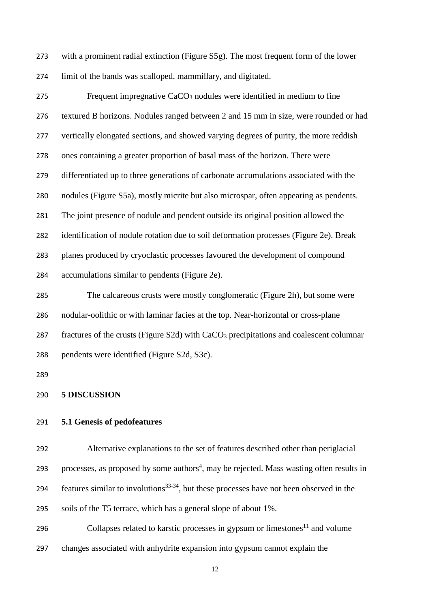with a prominent radial extinction (Figure S5g). The most frequent form of the lower limit of the bands was scalloped, mammillary, and digitated.

275 Frequent impregnative  $CaCO<sub>3</sub>$  nodules were identified in medium to fine textured B horizons. Nodules ranged between 2 and 15 mm in size, were rounded or had vertically elongated sections, and showed varying degrees of purity, the more reddish ones containing a greater proportion of basal mass of the horizon. There were differentiated up to three generations of carbonate accumulations associated with the nodules (Figure S5a), mostly micrite but also microspar, often appearing as pendents. The joint presence of nodule and pendent outside its original position allowed the identification of nodule rotation due to soil deformation processes (Figure 2e). Break planes produced by cryoclastic processes favoured the development of compound accumulations similar to pendents (Figure 2e).

 The calcareous crusts were mostly conglomeratic (Figure 2h), but some were nodular-oolithic or with laminar facies at the top. Near-horizontal or cross-plane 287 fractures of the crusts (Figure S2d) with  $CaCO<sub>3</sub>$  precipitations and coalescent columnar pendents were identified (Figure S2d, S3c).

#### **5 DISCUSSION**

# **5.1 Genesis of pedofeatures**

 Alternative explanations to the set of features described other than periglacial 293 processes, as proposed by some authors<sup>4</sup>, may be rejected. Mass wasting often results in 294 features similar to involutions<sup>33-34</sup>, but these processes have not been observed in the soils of the T5 terrace, which has a general slope of about 1%.

296 Collapses related to karstic processes in gypsum or limestones<sup>11</sup> and volume changes associated with anhydrite expansion into gypsum cannot explain the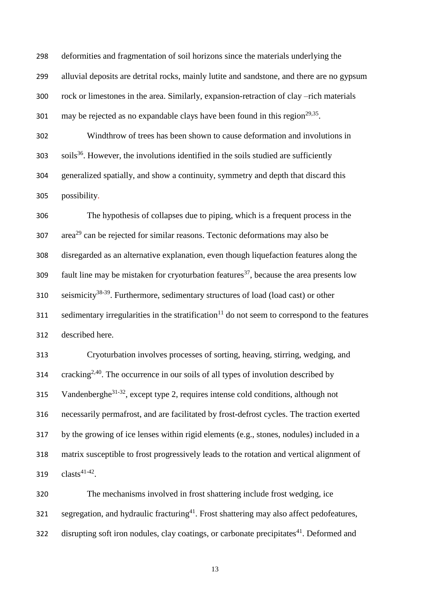deformities and fragmentation of soil horizons since the materials underlying the alluvial deposits are detrital rocks, mainly lutite and sandstone, and there are no gypsum rock or limestones in the area. Similarly, expansion-retraction of clay –rich materials 301 may be rejected as no expandable clays have been found in this region<sup>29,35</sup>.

 Windthrow of trees has been shown to cause deformation and involutions in soils<sup>36</sup>. However, the involutions identified in the soils studied are sufficiently generalized spatially, and show a continuity, symmetry and depth that discard this possibility.

 The hypothesis of collapses due to piping, which is a frequent process in the area<sup>29</sup> can be rejected for similar reasons. Tectonic deformations may also be disregarded as an alternative explanation, even though liquefaction features along the fault line may be mistaken for cryoturbation features<sup>37</sup>, because the area presents low seismicity<sup>38-39</sup>. Furthermore, sedimentary structures of load (load cast) or other sedimentary irregularities in the stratification<sup>11</sup> do not seem to correspond to the features described here.

 Cryoturbation involves processes of sorting, heaving, stirring, wedging, and  $\cdot$  cracking<sup>2,40</sup>. The occurrence in our soils of all types of involution described by 315 Vandenberghe<sup>31-32</sup>, except type 2, requires intense cold conditions, although not necessarily permafrost, and are facilitated by frost-defrost cycles. The traction exerted by the growing of ice lenses within rigid elements (e.g., stones, nodules) included in a matrix susceptible to frost progressively leads to the rotation and vertical alignment of  $\text{clasts}^{41-42}$ .

 The mechanisms involved in frost shattering include frost wedging, ice segregation, and hydraulic fracturing<sup>41</sup>. Frost shattering may also affect pedofeatures, disrupting soft iron nodules, clay coatings, or carbonate precipitates<sup>41</sup>. Deformed and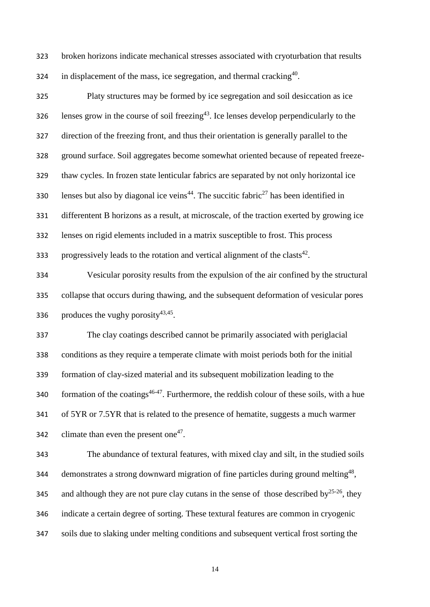broken horizons indicate mechanical stresses associated with cryoturbation that results 324 in displacement of the mass, ice segregation, and thermal cracking .

 Platy structures may be formed by ice segregation and soil desiccation as ice 326 lenses grow in the course of soil freezing<sup>43</sup>. Ice lenses develop perpendicularly to the direction of the freezing front, and thus their orientation is generally parallel to the ground surface. Soil aggregates become somewhat oriented because of repeated freeze- thaw cycles. In frozen state lenticular fabrics are separated by not only horizontal ice also but also by diagonal ice veins<sup>44</sup>. The succitic fabric<sup>27</sup> has been identified in differentent B horizons as a result, at microscale, of the traction exerted by growing ice lenses on rigid elements included in a matrix susceptible to frost. This process progressively leads to the rotation and vertical alignment of the clasts<sup>42</sup>.

 Vesicular porosity results from the expulsion of the air confined by the structural collapse that occurs during thawing, and the subsequent deformation of vesicular pores 336 produces the vughy porosity $43,45$ .

 The clay coatings described cannot be primarily associated with periglacial conditions as they require a temperate climate with moist periods both for the initial formation of clay-sized material and its subsequent mobilization leading to the  $f{40}$  formation of the coatings<sup>46-47</sup>. Furthermore, the reddish colour of these soils, with a hue of 5YR or 7.5YR that is related to the presence of hematite, suggests a much warmer 342 climate than even the present one<sup>47</sup>.

 The abundance of textural features, with mixed clay and silt, in the studied soils 344 demonstrates a strong downward migration of fine particles during ground melting<sup>48</sup>, 345 and although they are not pure clay cutans in the sense of those described by  $25-26$ , they indicate a certain degree of sorting. These textural features are common in cryogenic soils due to slaking under melting conditions and subsequent vertical frost sorting the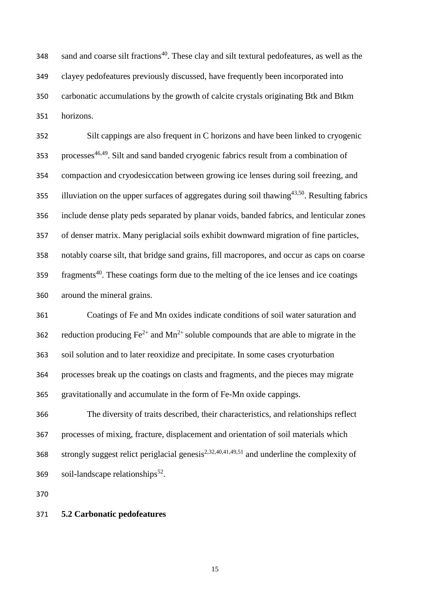sand and coarse silt fractions<sup>40</sup>. These clay and silt textural pedofeatures, as well as the clayey pedofeatures previously discussed, have frequently been incorporated into carbonatic accumulations by the growth of calcite crystals originating Btk and Btkm horizons.

 Silt cappings are also frequent in C horizons and have been linked to cryogenic 353 processes<sup>46,49</sup>. Silt and sand banded cryogenic fabrics result from a combination of compaction and cryodesiccation between growing ice lenses during soil freezing, and 355 illuviation on the upper surfaces of aggregates during soil thawing<sup>43,50</sup>. Resulting fabrics include dense platy peds separated by planar voids, banded fabrics, and lenticular zones of denser matrix. Many periglacial soils exhibit downward migration of fine particles, notably coarse silt, that bridge sand grains, fill macropores, and occur as caps on coarse  $f_1$  559  $\frac{1}{2}$  fragments<sup>40</sup>. These coatings form due to the melting of the ice lenses and ice coatings around the mineral grains.

 Coatings of Fe and Mn oxides indicate conditions of soil water saturation and 362 reduction producing  $Fe^{2+}$  and  $Mn^{2+}$  soluble compounds that are able to migrate in the soil solution and to later reoxidize and precipitate. In some cases cryoturbation processes break up the coatings on clasts and fragments, and the pieces may migrate gravitationally and accumulate in the form of Fe-Mn oxide cappings.

 The diversity of traits described, their characteristics, and relationships reflect processes of mixing, fracture, displacement and orientation of soil materials which 368 strongly suggest relict periglacial genesis<sup>2,32,40,41,49,51</sup> and underline the complexity of soil-landscape relationships<sup>52</sup>.

#### **5.2 Carbonatic pedofeatures**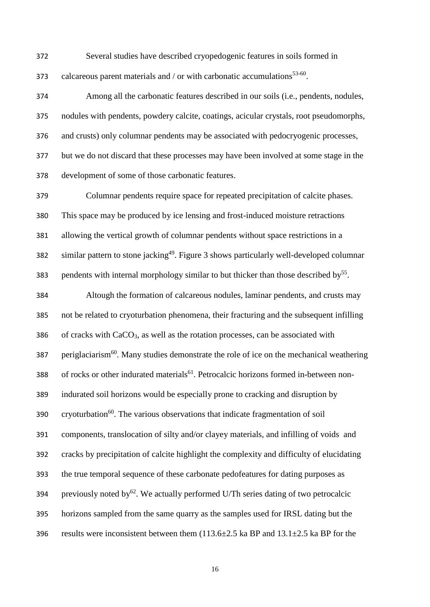Several studies have described cryopedogenic features in soils formed in 373 calcareous parent materials and / or with carbonatic accumulations<sup>53-60</sup>.

 Among all the carbonatic features described in our soils (i.e., pendents, nodules, nodules with pendents, powdery calcite, coatings, acicular crystals, root pseudomorphs, and crusts) only columnar pendents may be associated with pedocryogenic processes, but we do not discard that these processes may have been involved at some stage in the development of some of those carbonatic features.

 Columnar pendents require space for repeated precipitation of calcite phases. This space may be produced by ice lensing and frost-induced moisture retractions allowing the vertical growth of columnar pendents without space restrictions in a similar pattern to stone jacking<sup>49</sup>. Figure 3 shows particularly well-developed columnar 383 pendents with internal morphology similar to but thicker than those described by<sup>55</sup>.

 Altough the formation of calcareous nodules, laminar pendents, and crusts may not be related to cryoturbation phenomena, their fracturing and the subsequent infilling of cracks with CaCO<sub>3</sub>, as well as the rotation processes, can be associated with periglaciarism<sup>60</sup>. Many studies demonstrate the role of ice on the mechanical weathering of rocks or other indurated materials<sup>61</sup>. Petrocalcic horizons formed in-between non- indurated soil horizons would be especially prone to cracking and disruption by cryoturbation<sup>60</sup>. The various observations that indicate fragmentation of soil components, translocation of silty and/or clayey materials, and infilling of voids and cracks by precipitation of calcite highlight the complexity and difficulty of elucidating the true temporal sequence of these carbonate pedofeatures for dating purposes as 394 previously noted by<sup>62</sup>. We actually performed U/Th series dating of two petrocalcic horizons sampled from the same quarry as the samples used for IRSL dating but the 396 results were inconsistent between them  $(113.6\pm 2.5 \text{ ka BP and } 13.1\pm 2.5 \text{ ka BP for the})$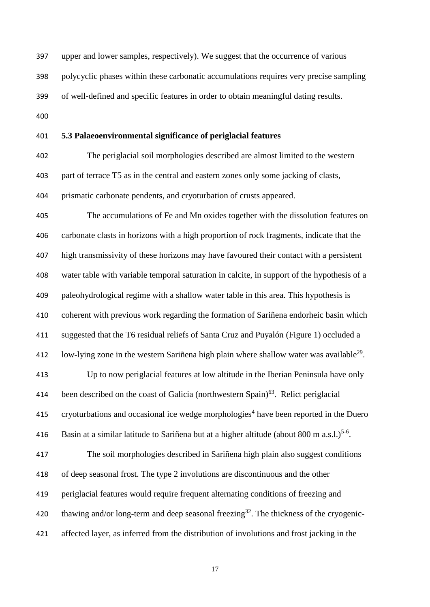upper and lower samples, respectively). We suggest that the occurrence of various polycyclic phases within these carbonatic accumulations requires very precise sampling of well-defined and specific features in order to obtain meaningful dating results.

### **5.3 Palaeoenvironmental significance of periglacial features**

 The periglacial soil morphologies described are almost limited to the western part of terrace T5 as in the central and eastern zones only some jacking of clasts, prismatic carbonate pendents, and cryoturbation of crusts appeared.

 The accumulations of Fe and Mn oxides together with the dissolution features on carbonate clasts in horizons with a high proportion of rock fragments, indicate that the high transmissivity of these horizons may have favoured their contact with a persistent water table with variable temporal saturation in calcite, in support of the hypothesis of a paleohydrological regime with a shallow water table in this area. This hypothesis is coherent with previous work regarding the formation of Sariñena endorheic basin which suggested that the T6 residual reliefs of Santa Cruz and Puyalón (Figure 1) occluded a 412 low-lying zone in the western Sariñena high plain where shallow water was available<sup>29</sup>.

 Up to now periglacial features at low altitude in the Iberian Peninsula have only 414 been described on the coast of Galicia (northwestern Spain). Relict periglacial 415 cryoturbations and occasional ice wedge morphologies<sup>4</sup> have been reported in the Duero 416 Basin at a similar latitude to Sariñena but at a higher altitude (about  $800 \text{ m a.s.}$ ).<sup>5-6</sup>.

 The soil morphologies described in Sariñena high plain also suggest conditions of deep seasonal frost. The type 2 involutions are discontinuous and the other periglacial features would require frequent alternating conditions of freezing and 420 thawing and/or long-term and deep seasonal freezing<sup>32</sup>. The thickness of the cryogenic-affected layer, as inferred from the distribution of involutions and frost jacking in the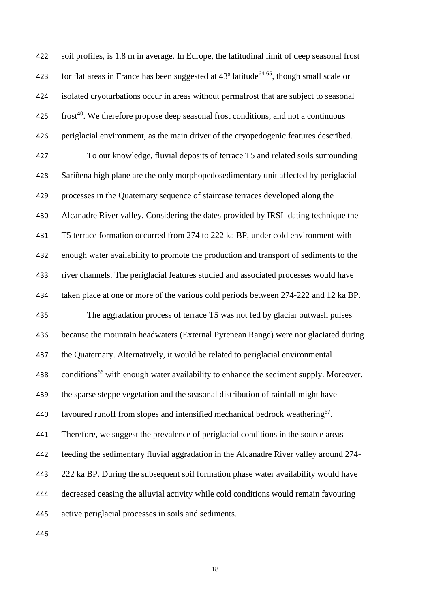soil profiles, is 1.8 m in average. In Europe, the latitudinal limit of deep seasonal frost 423 for flat areas in France has been suggested at  $43^{\circ}$  latitude<sup>64-65</sup>, though small scale or isolated cryoturbations occur in areas without permafrost that are subject to seasonal  $\cdot$  frost<sup>40</sup>. We therefore propose deep seasonal frost conditions, and not a continuous periglacial environment, as the main driver of the cryopedogenic features described. To our knowledge, fluvial deposits of terrace T5 and related soils surrounding Sariñena high plane are the only morphopedosedimentary unit affected by periglacial processes in the Quaternary sequence of staircase terraces developed along the Alcanadre River valley. Considering the dates provided by IRSL dating technique the T5 terrace formation occurred from 274 to 222 ka BP, under cold environment with enough water availability to promote the production and transport of sediments to the river channels. The periglacial features studied and associated processes would have taken place at one or more of the various cold periods between 274-222 and 12 ka BP. The aggradation process of terrace T5 was not fed by glaciar outwash pulses because the mountain headwaters (External Pyrenean Range) were not glaciated during the Quaternary. Alternatively, it would be related to periglacial environmental 438 conditions<sup>66</sup> with enough water availability to enhance the sediment supply. Moreover, the sparse steppe vegetation and the seasonal distribution of rainfall might have 440 favoured runoff from slopes and intensified mechanical bedrock weathering<sup>67</sup>. Therefore, we suggest the prevalence of periglacial conditions in the source areas feeding the sedimentary fluvial aggradation in the Alcanadre River valley around 274- 222 ka BP. During the subsequent soil formation phase water availability would have decreased ceasing the alluvial activity while cold conditions would remain favouring active periglacial processes in soils and sediments.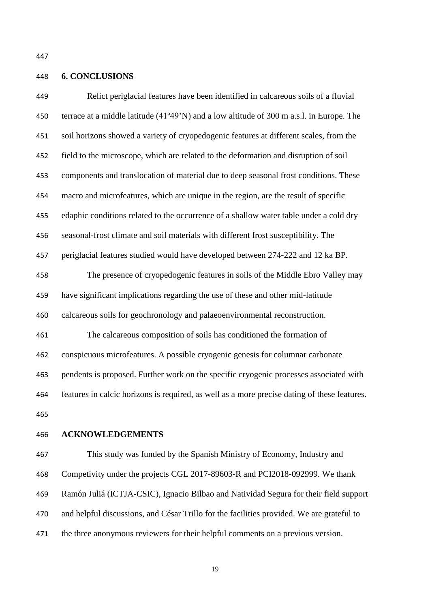## **6. CONCLUSIONS**

 Relict periglacial features have been identified in calcareous soils of a fluvial terrace at a middle latitude (41º49'N) and a low altitude of 300 m a.s.l. in Europe. The soil horizons showed a variety of cryopedogenic features at different scales, from the field to the microscope, which are related to the deformation and disruption of soil components and translocation of material due to deep seasonal frost conditions. These macro and microfeatures, which are unique in the region, are the result of specific edaphic conditions related to the occurrence of a shallow water table under a cold dry seasonal-frost climate and soil materials with different frost susceptibility. The periglacial features studied would have developed between 274-222 and 12 ka BP. The presence of cryopedogenic features in soils of the Middle Ebro Valley may have significant implications regarding the use of these and other mid-latitude calcareous soils for geochronology and palaeoenvironmental reconstruction. The calcareous composition of soils has conditioned the formation of conspicuous microfeatures. A possible cryogenic genesis for columnar carbonate

pendents is proposed. Further work on the specific cryogenic processes associated with

features in calcic horizons is required, as well as a more precise dating of these features.

## **ACKNOWLEDGEMENTS**

 This study was funded by the Spanish Ministry of Economy, Industry and Competivity under the projects CGL 2017-89603-R and PCI2018-092999. We thank Ramón Juliá (ICTJA-CSIC), Ignacio Bilbao and Natividad Segura for their field support and helpful discussions, and César Trillo for the facilities provided. We are grateful to the three anonymous reviewers for their helpful comments on a previous version.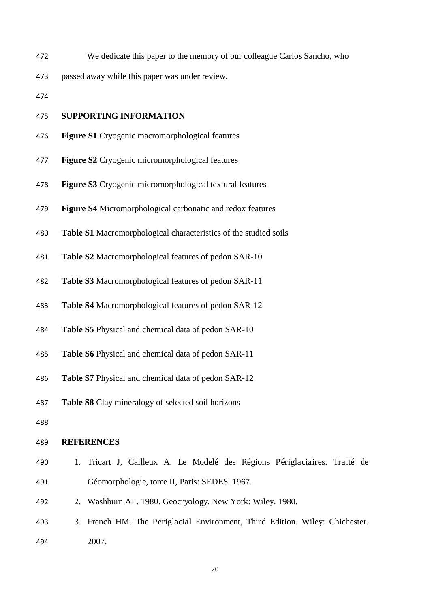We dedicate this paper to the memory of our colleague Carlos Sancho, who

passed away while this paper was under review.

# **SUPPORTING INFORMATION**

- **Figure S1** Cryogenic macromorphological features
- **Figure S2** Cryogenic micromorphological features
- **Figure S3** Cryogenic micromorphological textural features
- **Figure S4** Micromorphological carbonatic and redox features
- **Table S1** Macromorphological characteristics of the studied soils
- **Table S2** Macromorphological features of pedon SAR-10
- **Table S3** Macromorphological features of pedon SAR-11
- **Table S4** Macromorphological features of pedon SAR-12
- **Table S5** Physical and chemical data of pedon SAR-10
- **Table S6** Physical and chemical data of pedon SAR-11
- **Table S7** Physical and chemical data of pedon SAR-12
- **Table S8** Clay mineralogy of selected soil horizons

## **REFERENCES**

- 1. Tricart J, Cailleux A. Le Modelé des Régions Périglaciaires. Traité de Géomorphologie, tome II, Paris: SEDES. 1967.
- 2. Washburn AL. 1980. Geocryology. New York: Wiley. 1980.
- 3. French HM. The Periglacial Environment, Third Edition. Wiley: Chichester. 2007.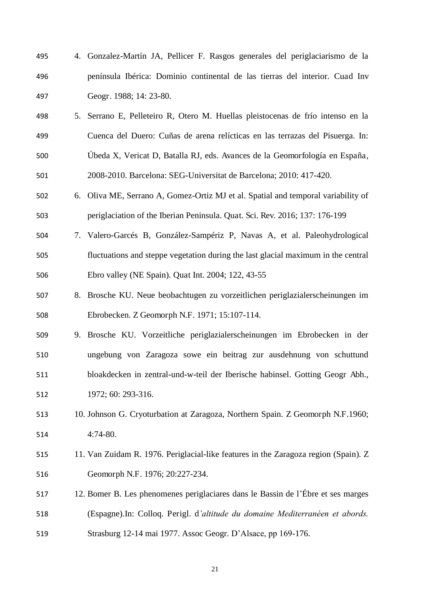- 4. Gonzalez-Martín JA, Pellicer F. Rasgos generales del periglaciarismo de la península Ibérica: Dominio continental de las tierras del interior. Cuad Inv Geogr. 1988; 14: 23-80.
- 5. Serrano E, Pelleteiro R, Otero M. Huellas pleistocenas de frío intenso en la Cuenca del Duero: Cuñas de arena relícticas en las terrazas del Pisuerga. In: Úbeda X, Vericat D, Batalla RJ, eds. Avances de la Geomorfología en España, 2008-2010. Barcelona: SEG-Universitat de Barcelona; 2010: 417-420.
- 6. Oliva ME, Serrano A, Gomez-Ortiz MJ et al. Spatial and temporal variability of periglaciation of the Iberian Peninsula. Quat. Sci. Rev. 2016; 137: 176-199
- 7. Valero-Garcés B, González-Sampériz P, Navas A, et al. Paleohydrological fluctuations and steppe vegetation during the last glacial maximum in the central Ebro valley (NE Spain). Quat Int. 2004; 122, 43-55
- 8. Brosche KU. Neue beobachtugen zu vorzeitlichen periglazialerscheinungen im Ebrobecken. Z Geomorph N.F. 1971; 15:107-114.
- 9. Brosche KU. Vorzeitliche periglazialerscheinungen im Ebrobecken in der ungebung von Zaragoza sowe ein beitrag zur ausdehnung von schuttund bloakdecken in zentral-und-w-teil der Iberische habinsel. Gotting Geogr Abh., 1972; 60: 293-316.
- 10. Johnson G. Cryoturbation at Zaragoza, Northern Spain. Z Geomorph N.F.1960; 4:74-80.
- 11. Van Zuidam R. 1976. Periglacial-like features in the Zaragoza region (Spain). Z Geomorph N.F. 1976; 20:227-234.
- 12. Bomer B. Les phenomenes periglaciares dans le Bassin de l'Ébre et ses marges (Espagne).In: Colloq. Perigl. d*'altitude du domaine Mediterranéen et abords.* Strasburg 12-14 mai 1977. Assoc Geogr. D'Alsace, pp 169-176.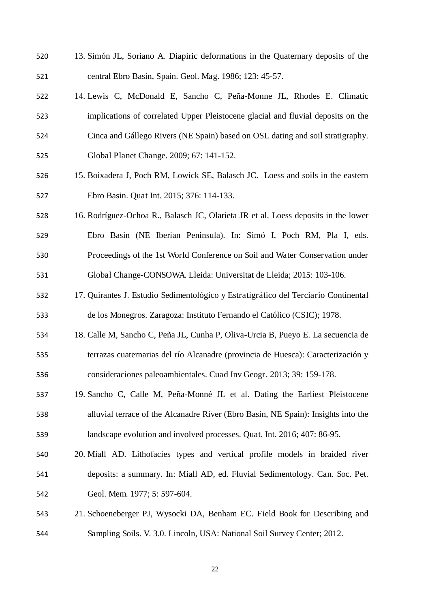- 13. Simón JL, Soriano A. Diapiric deformations in the Quaternary deposits of the central Ebro Basin, Spain. Geol. Mag. 1986; 123: 45-57.
- 14. Lewis C, McDonald E, Sancho C, Peña-Monne JL, Rhodes E. Climatic implications of correlated Upper Pleistocene glacial and fluvial deposits on the Cinca and Gállego Rivers (NE Spain) based on OSL dating and soil stratigraphy. Global Planet Change. 2009; 67: 141-152.
- 15. Boixadera J, Poch RM, Lowick SE, Balasch JC. Loess and soils in the eastern Ebro Basin. Quat Int. 2015; 376: 114-133.
- 16. Rodríguez-Ochoa R., Balasch JC, Olarieta JR et al. Loess deposits in the lower Ebro Basin (NE Iberian Peninsula). In: Simó I, Poch RM, Pla I, eds. Proceedings of the 1st World Conference on Soil and Water Conservation under Global Change-CONSOWA. Lleida: Universitat de Lleida; 2015: 103-106.
- 17. Quirantes J. Estudio Sedimentológico y Estratigráfico del Terciario Continental de los Monegros. Zaragoza: Instituto Fernando el Católico (CSIC); 1978.
- 18. Calle M, Sancho C, Peña JL, Cunha P, Oliva-Urcia B, Pueyo E. La secuencia de terrazas cuaternarias del río Alcanadre (provincia de Huesca): Caracterización y consideraciones paleoambientales. Cuad Inv Geogr. 2013; 39: 159-178.
- 19. Sancho C, Calle M, Peña-Monné JL et al. Dating the Earliest Pleistocene alluvial terrace of the Alcanadre River (Ebro Basin, NE Spain): Insights into the landscape evolution and involved processes. Quat. Int. 2016; 407: 86-95.
- 20. Miall AD. Lithofacies types and vertical profile models in braided river deposits: a summary. In: Miall AD, ed. Fluvial Sedimentology. Can. Soc. Pet. Geol. Mem. 1977; 5: 597-604.
- 21. Schoeneberger PJ, Wysocki DA, Benham EC. Field Book for Describing and Sampling Soils. V. 3.0. Lincoln, USA: National Soil Survey Center; 2012.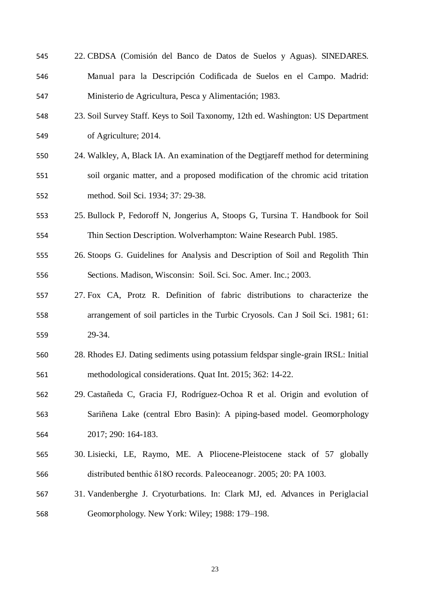- 22. CBDSA (Comisión del Banco de Datos de Suelos y Aguas). SINEDARES. Manual para la Descripción Codificada de Suelos en el Campo. Madrid: Ministerio de Agricultura, Pesca y Alimentación; 1983.
- 23. Soil Survey Staff. Keys to Soil Taxonomy, 12th ed. Washington: US Department of Agriculture; 2014.
- 24. Walkley, A, Black IA. An examination of the Degtjareff method for determining soil organic matter, and a proposed modification of the chromic acid tritation method. Soil Sci. 1934; 37: 29-38.
- 25. Bullock P, Fedoroff N, Jongerius A, Stoops G, Tursina T. Handbook for Soil Thin Section Description. Wolverhampton: Waine Research Publ. 1985.
- 26. Stoops G. Guidelines for Analysis and Description of Soil and Regolith Thin Sections. Madison, Wisconsin: Soil. Sci. Soc. Amer. Inc.; 2003.
- 27. Fox CA, Protz R. Definition of fabric distributions to characterize the arrangement of soil particles in the Turbic Cryosols. Can J Soil Sci. 1981; 61: 29-34.
- 28. Rhodes EJ. Dating sediments using potassium feldspar single-grain IRSL: Initial methodological considerations. Quat Int. 2015; 362: 14-22.
- 29. Castañeda C, Gracia FJ, Rodríguez-Ochoa R et al. Origin and evolution of Sariñena Lake (central Ebro Basin): A piping-based model. Geomorphology 2017; 290: 164-183.
- 30. Lisiecki, LE, Raymo, ME. A Pliocene-Pleistocene stack of 57 globally distributed benthic h18O records. Paleoceanogr. 2005; 20: PA 1003.
- 31. Vandenberghe J. Cryoturbations. In: Clark MJ, ed. Advances in Periglacial Geomorphology. New York: Wiley; 1988: 179–198.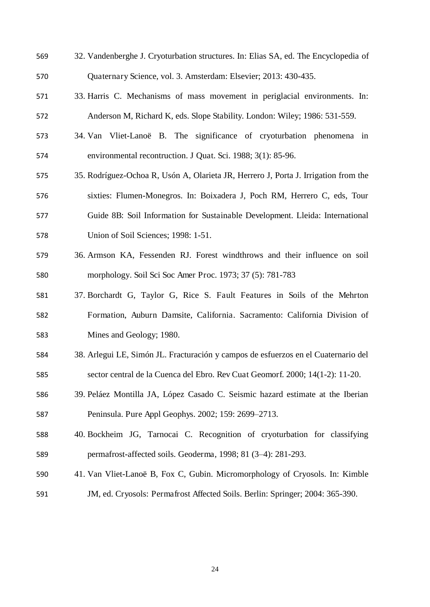- 32. Vandenberghe J. Cryoturbation structures. In: Elias SA, ed. The Encyclopedia of Quaternary Science, vol. 3. Amsterdam: Elsevier; 2013: 430-435.
- 33. Harris C. Mechanisms of mass movement in periglacial environments. In: Anderson M, Richard K, eds. Slope Stability. London: Wiley; 1986: 531-559.
- 34. Van Vliet-Lanoë B. The significance of cryoturbation phenomena in environmental recontruction. J Quat. Sci. 1988; 3(1): 85-96.
- 35. Rodríguez-Ochoa R, Usón A, Olarieta JR, Herrero J, Porta J. Irrigation from the sixties: Flumen-Monegros. In: Boixadera J, Poch RM, Herrero C, eds, Tour Guide 8B: Soil Information for Sustainable Development. Lleida: International Union of Soil Sciences; 1998: 1-51.
- 36. Armson KA, Fessenden RJ. Forest windthrows and their influence on soil morphology. Soil Sci Soc Amer Proc. 1973; 37 (5): 781-783
- 37. Borchardt G, Taylor G, Rice S. Fault Features in Soils of the Mehrton Formation, Auburn Damsite, California. Sacramento: California Division of Mines and Geology; 1980.
- 38. Arlegui LE, Simón JL. Fracturación y campos de esfuerzos en el Cuaternario del sector central de la Cuenca del Ebro. Rev Cuat Geomorf. 2000; 14(1-2): 11-20.
- 39. Peláez Montilla JA, López Casado C. Seismic hazard estimate at the Iberian Peninsula. Pure Appl Geophys. 2002; 159: 2699–2713.
- 40. Bockheim JG, Tarnocai C. Recognition of cryoturbation for classifying permafrost-affected soils. Geoderma, 1998; 81 (3–4): 281-293.
- 41. Van Vliet-Lanoë B, Fox C, Gubin. Micromorphology of Cryosols. In: Kimble
- JM, ed. Cryosols: Permafrost Affected Soils. Berlin: Springer; 2004: 365-390.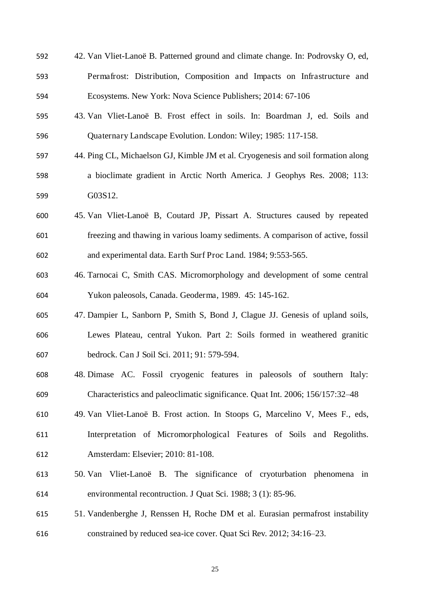- 42. Van Vliet-Lanoë B. Patterned ground and climate change. In: Podrovsky O, ed, Permafrost: Distribution, Composition and Impacts on Infrastructure and Ecosystems. New York: Nova Science Publishers; 2014: 67-106
- 43. Van Vliet-Lanoë B. Frost effect in soils. In: Boardman J, ed. Soils and Quaternary Landscape Evolution. London: Wiley; 1985: 117-158.
- 44. Ping CL, Michaelson GJ, Kimble JM et al. Cryogenesis and soil formation along a bioclimate gradient in Arctic North America. J Geophys Res. 2008; 113: G03S12.
- 45. Van Vliet-Lanoë B, Coutard JP, Pissart A. Structures caused by repeated freezing and thawing in various loamy sediments. A comparison of active, fossil and experimental data. Earth Surf Proc Land. 1984; 9:553-565.
- 46. Tarnocai C, Smith CAS. Micromorphology and development of some central Yukon paleosols, Canada. Geoderma, 1989. 45: 145-162.
- 47. Dampier L, Sanborn P, Smith S, Bond J, Clague JJ. Genesis of upland soils, Lewes Plateau, central Yukon. Part 2: Soils formed in weathered granitic bedrock. Can J Soil Sci. 2011; 91: 579-594.
- 48. Dimase AC. Fossil cryogenic features in paleosols of southern Italy: Characteristics and paleoclimatic significance. Quat Int. 2006; 156/157:32–48
- 49. Van Vliet-Lanoë B. Frost action. In Stoops G, Marcelino V, Mees F., eds, Interpretation of Micromorphological Features of Soils and Regoliths. Amsterdam: Elsevier; 2010: 81-108.
- 50. Van Vliet-Lanoë B. The significance of cryoturbation phenomena in environmental recontruction. J Quat Sci. 1988; 3 (1): 85-96.
- 51. Vandenberghe J, Renssen H, Roche DM et al. Eurasian permafrost instability constrained by reduced sea-ice cover. Quat Sci Rev. 2012; 34:16–23.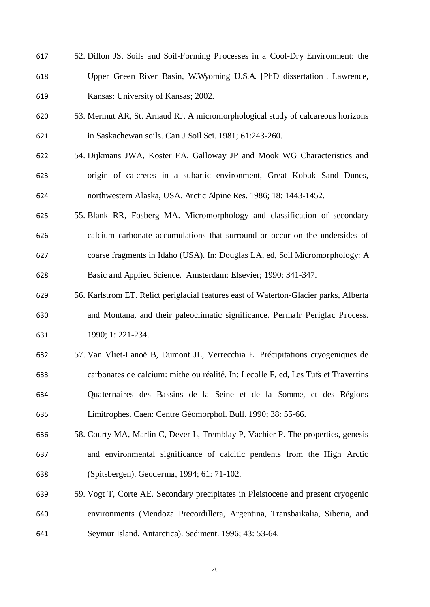- 52. Dillon JS. Soils and Soil-Forming Processes in a Cool-Dry Environment: the Upper Green River Basin, W.Wyoming U.S.A. [PhD dissertation]. Lawrence, Kansas: University of Kansas; 2002.
- 53. Mermut AR, St. Arnaud RJ. A micromorphological study of calcareous horizons in Saskachewan soils. Can J Soil Sci. 1981; 61:243-260.
- 54. Dijkmans JWA, Koster EA, Galloway JP and Mook WG Characteristics and origin of calcretes in a subartic environment, Great Kobuk Sand Dunes, northwestern Alaska, USA. Arctic Alpine Res. 1986; 18: 1443-1452.
- 55. Blank RR, Fosberg MA. Micromorphology and classification of secondary calcium carbonate accumulations that surround or occur on the undersides of coarse fragments in Idaho (USA). In: Douglas LA, ed, Soil Micromorphology: A Basic and Applied Science. Amsterdam: Elsevier; 1990: 341-347.
- 56. Karlstrom ET. Relict periglacial features east of Waterton-Glacier parks, Alberta and Montana, and their paleoclimatic significance. Permafr Periglac Process. 1990; 1: 221-234.
- 57. Van Vliet-Lanoë B, Dumont JL, Verrecchia E. Précipitations cryogeniques de carbonates de calcium: mithe ou réalité. In: Lecolle F, ed, Les Tufs et Travertins Quaternaires des Bassins de la Seine et de la Somme, et des Régions Limitrophes. Caen: Centre Géomorphol. Bull. 1990; 38: 55-66.
- 58. Courty MA, Marlin C, Dever L, Tremblay P, Vachier P. The properties, genesis and environmental significance of calcitic pendents from the High Arctic (Spitsbergen). Geoderma, 1994; 61: 71-102.
- 59. Vogt T, Corte AE. Secondary precipitates in Pleistocene and present cryogenic environments (Mendoza Precordillera, Argentina, Transbaikalia, Siberia, and Seymur Island, Antarctica). Sediment. 1996; 43: 53-64.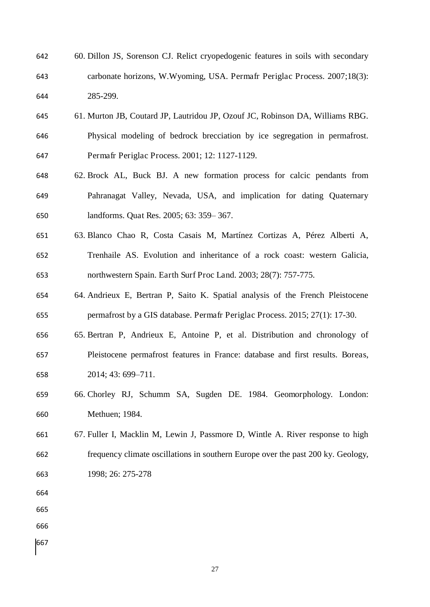- 60. Dillon JS, Sorenson CJ. Relict cryopedogenic features in soils with secondary carbonate horizons, W.Wyoming, USA. Permafr Periglac Process. 2007;18(3): 285-299.
- 61. Murton JB, Coutard JP, Lautridou JP, Ozouf JC, Robinson DA, Williams RBG. Physical modeling of bedrock brecciation by ice segregation in permafrost. Permafr Periglac Process. 2001; 12: 1127-1129.
- 62. Brock AL, Buck BJ. A new formation process for calcic pendants from Pahranagat Valley, Nevada, USA, and implication for dating Quaternary landforms. Quat Res. 2005; 63: 359– 367.
- 63. Blanco Chao R, Costa Casais M, Martínez Cortizas A, Pérez Alberti A, Trenhaile AS. Evolution and inheritance of a rock coast: western Galicia, northwestern Spain. Earth Surf Proc Land. 2003; 28(7): 757-775.
- 64. Andrieux E, Bertran P, Saito K. Spatial analysis of the French Pleistocene permafrost by a GIS database. Permafr Periglac Process. 2015; 27(1): 17-30.
- 65. Bertran P, Andrieux E, Antoine P, et al. Distribution and chronology of Pleistocene permafrost features in France: database and first results. Boreas, 2014; 43: 699–711.
- 66. Chorley RJ, Schumm SA, Sugden DE. 1984. Geomorphology. London: Methuen; 1984.
- 67. Fuller I, Macklin M, Lewin J, Passmore D, Wintle A. River response to high frequency climate oscillations in southern Europe over the past 200 ky. Geology, 1998; 26: 275-278
- 
- 
- 
-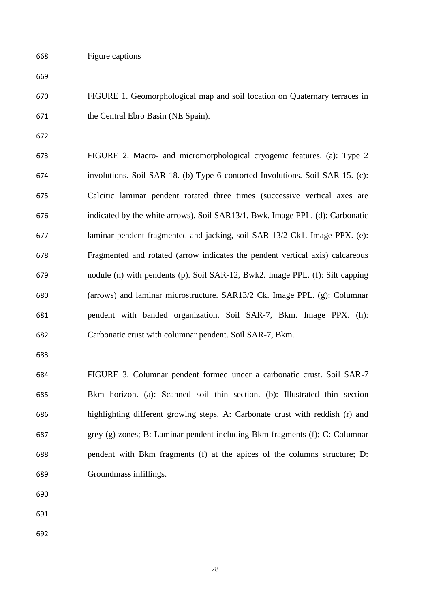FIGURE 1. Geomorphological map and soil location on Quaternary terraces in the Central Ebro Basin (NE Spain).

 FIGURE 2. Macro- and micromorphological cryogenic features. (a): Type 2 involutions. Soil SAR-18. (b) Type 6 contorted Involutions. Soil SAR-15. (c): Calcitic laminar pendent rotated three times (successive vertical axes are indicated by the white arrows). Soil SAR13/1, Bwk. Image PPL. (d): Carbonatic laminar pendent fragmented and jacking, soil SAR-13/2 Ck1. Image PPX. (e): Fragmented and rotated (arrow indicates the pendent vertical axis) calcareous nodule (n) with pendents (p). Soil SAR-12, Bwk2. Image PPL. (f): Silt capping (arrows) and laminar microstructure. SAR13/2 Ck. Image PPL. (g): Columnar pendent with banded organization. Soil SAR-7, Bkm. Image PPX. (h): Carbonatic crust with columnar pendent. Soil SAR-7, Bkm.

 FIGURE 3. Columnar pendent formed under a carbonatic crust. Soil SAR-7 Bkm horizon. (a): Scanned soil thin section. (b): Illustrated thin section highlighting different growing steps. A: Carbonate crust with reddish (r) and grey (g) zones; B: Laminar pendent including Bkm fragments (f); C: Columnar pendent with Bkm fragments (f) at the apices of the columns structure; D: Groundmass infillings.

- 
- 
-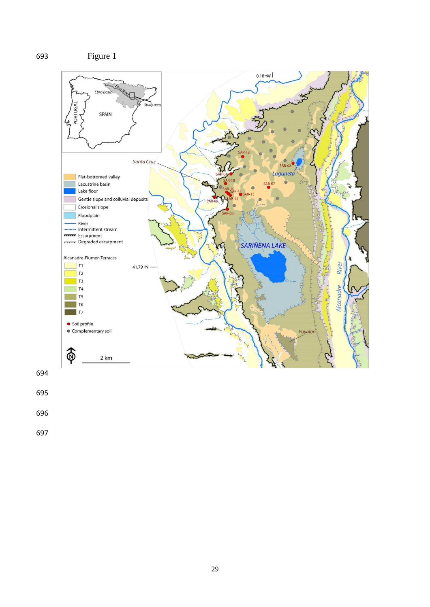

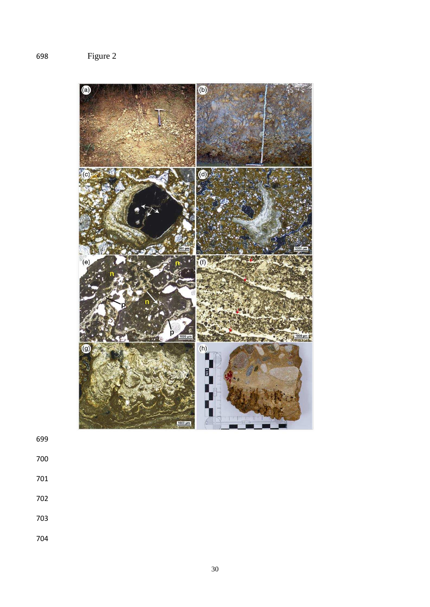

- 
- 
- 
- 
- 
-